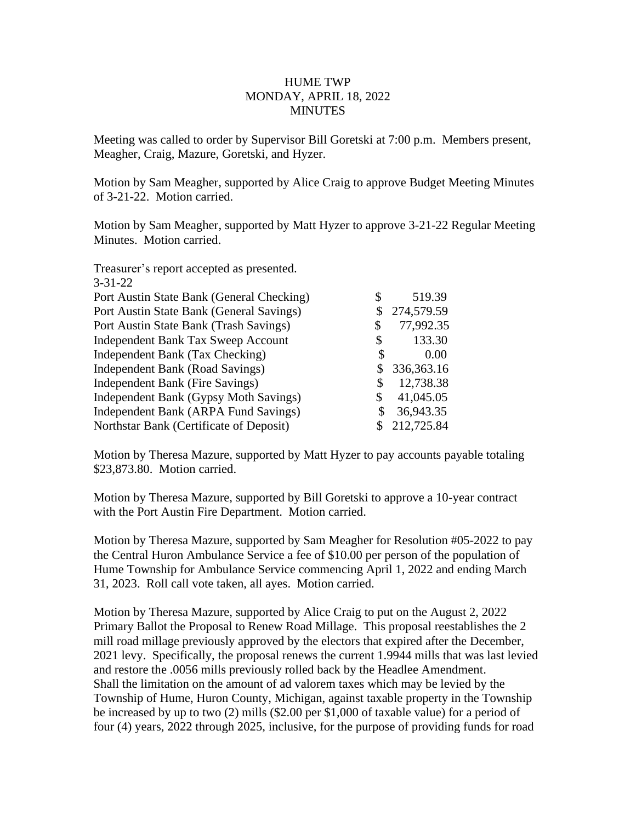## HUME TWP MONDAY, APRIL 18, 2022 MINUTES

Meeting was called to order by Supervisor Bill Goretski at 7:00 p.m. Members present, Meagher, Craig, Mazure, Goretski, and Hyzer.

Motion by Sam Meagher, supported by Alice Craig to approve Budget Meeting Minutes of 3-21-22. Motion carried.

Motion by Sam Meagher, supported by Matt Hyzer to approve 3-21-22 Regular Meeting Minutes. Motion carried.

| \$ | 519.39       |
|----|--------------|
|    | 274,579.59   |
| \$ | 77,992.35    |
| S  | 133.30       |
| S  | 0.00         |
| S  | 336, 363. 16 |
| \$ | 12,738.38    |
| \$ | 41,045.05    |
| S  | 36,943.35    |
|    | 212,725.84   |
|    |              |

Motion by Theresa Mazure, supported by Matt Hyzer to pay accounts payable totaling \$23,873.80. Motion carried.

Motion by Theresa Mazure, supported by Bill Goretski to approve a 10-year contract with the Port Austin Fire Department. Motion carried.

Motion by Theresa Mazure, supported by Sam Meagher for Resolution #05-2022 to pay the Central Huron Ambulance Service a fee of \$10.00 per person of the population of Hume Township for Ambulance Service commencing April 1, 2022 and ending March 31, 2023. Roll call vote taken, all ayes. Motion carried.

Motion by Theresa Mazure, supported by Alice Craig to put on the August 2, 2022 Primary Ballot the Proposal to Renew Road Millage. This proposal reestablishes the 2 mill road millage previously approved by the electors that expired after the December, 2021 levy. Specifically, the proposal renews the current 1.9944 mills that was last levied and restore the .0056 mills previously rolled back by the Headlee Amendment. Shall the limitation on the amount of ad valorem taxes which may be levied by the Township of Hume, Huron County, Michigan, against taxable property in the Township be increased by up to two (2) mills (\$2.00 per \$1,000 of taxable value) for a period of four (4) years, 2022 through 2025, inclusive, for the purpose of providing funds for road